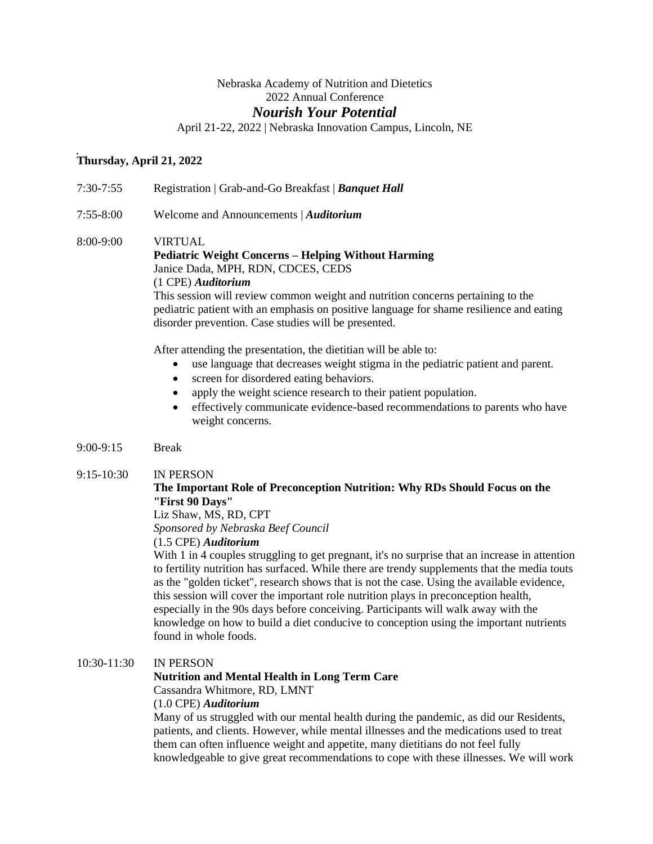## Nebraska Academy of Nutrition and Dietetics 2022 Annual Conference

## *Nourish Your Potential*

April 21-22, 2022 | Nebraska Innovation Campus, Lincoln, NE

## **Thursday, April 21, 2022**

7:30-7:55 Registration | Grab-and-Go Breakfast | *Banquet Hall*

7:55-8:00 Welcome and Announcements | *Auditorium*

## 8:00-9:00 VIRTUAL **Pediatric Weight Concerns – Helping Without Harming**  Janice Dada, MPH, RDN, CDCES, CEDS (1 CPE) *Auditorium* This session will review common weight and nutrition concerns pertaining to the

pediatric patient with an emphasis on positive language for shame resilience and eating disorder prevention. Case studies will be presented.

After attending the presentation, the dietitian will be able to:

- use language that decreases weight stigma in the pediatric patient and parent.
- screen for disordered eating behaviors.
- apply the weight science research to their patient population.
- effectively communicate evidence-based recommendations to parents who have weight concerns.
- 9:00-9:15 Break

#### 9:15-10:30 IN PERSON

## **The Important Role of Preconception Nutrition: Why RDs Should Focus on the "First 90 Days"**

Liz Shaw, MS, RD, CPT

*Sponsored by Nebraska Beef Council*

(1.5 CPE) *Auditorium*

With 1 in 4 couples struggling to get pregnant, it's no surprise that an increase in attention to fertility nutrition has surfaced. While there are trendy supplements that the media touts as the "golden ticket", research shows that is not the case. Using the available evidence, this session will cover the important role nutrition plays in preconception health, especially in the 90s days before conceiving. Participants will walk away with the knowledge on how to build a diet conducive to conception using the important nutrients found in whole foods.

## 10:30-11:30 IN PERSON

## **Nutrition and Mental Health in Long Term Care**

Cassandra Whitmore, RD, LMNT

#### (1.0 CPE) *Auditorium*

Many of us struggled with our mental health during the pandemic, as did our Residents, patients, and clients. However, while mental illnesses and the medications used to treat them can often influence weight and appetite, many dietitians do not feel fully knowledgeable to give great recommendations to cope with these illnesses. We will work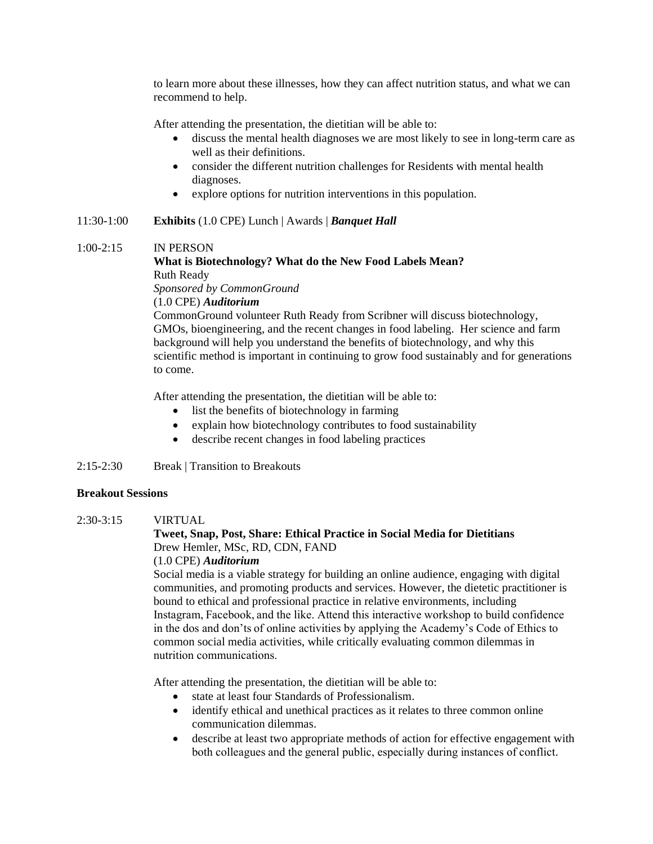to learn more about these illnesses, how they can affect nutrition status, and what we can recommend to help.

After attending the presentation, the dietitian will be able to:

- discuss the mental health diagnoses we are most likely to see in long-term care as well as their definitions.
- consider the different nutrition challenges for Residents with mental health diagnoses.
- explore options for nutrition interventions in this population.

#### 11:30-1:00 **Exhibits** (1.0 CPE) Lunch | Awards | *Banquet Hall*

#### 1:00-2:15 IN PERSON

## **What is Biotechnology? What do the New Food Labels Mean?** Ruth Ready

*Sponsored by CommonGround*

(1.0 CPE) *Auditorium*

CommonGround volunteer Ruth Ready from Scribner will discuss biotechnology, GMOs, bioengineering, and the recent changes in food labeling. Her science and farm background will help you understand the benefits of biotechnology, and why this scientific method is important in continuing to grow food sustainably and for generations to come.

After attending the presentation, the dietitian will be able to:

- list the benefits of biotechnology in farming
- explain how biotechnology contributes to food sustainability
- describe recent changes in food labeling practices

## 2:15-2:30 Break | Transition to Breakouts

#### **Breakout Sessions**

2:30-3:15 VIRTUAL

## **Tweet, Snap, Post, Share: Ethical Practice in Social Media for Dietitians** Drew Hemler, MSc, RD, CDN, FAND

(1.0 CPE) *Auditorium*

Social media is a viable strategy for building an online audience, engaging with digital communities, and promoting products and services. However, the dietetic practitioner is bound to ethical and professional practice in relative environments, including Instagram, Facebook, and the like. Attend this interactive workshop to build confidence in the dos and don'ts of online activities by applying the Academy's Code of Ethics to common social media activities, while critically evaluating common dilemmas in nutrition communications.   

After attending the presentation, the dietitian will be able to:

- state at least four Standards of Professionalism.
- identify ethical and unethical practices as it relates to three common online communication dilemmas.
- describe at least two appropriate methods of action for effective engagement with both colleagues and the general public, especially during instances of conflict.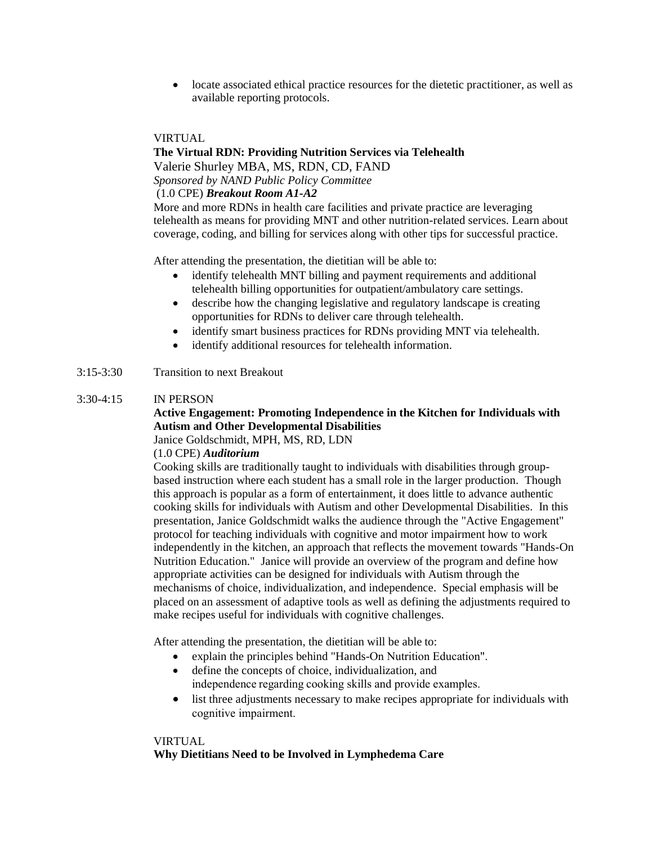• locate associated ethical practice resources for the dietetic practitioner, as well as available reporting protocols.

#### VIRTUAL

## **The Virtual RDN: Providing Nutrition Services via Telehealth**

Valerie Shurley MBA, MS, RDN, CD, FAND

*Sponsored by NAND Public Policy Committee*

## (1.0 CPE) *Breakout Room A1-A2*

More and more RDNs in health care facilities and private practice are leveraging telehealth as means for providing MNT and other nutrition-related services. Learn about coverage, coding, and billing for services along with other tips for successful practice.

After attending the presentation, the dietitian will be able to:

- identify telehealth MNT billing and payment requirements and additional telehealth billing opportunities for outpatient/ambulatory care settings.
- describe how the changing legislative and regulatory landscape is creating opportunities for RDNs to deliver care through telehealth.
- identify smart business practices for RDNs providing MNT via telehealth.
- identify additional resources for telehealth information.

### 3:15-3:30 Transition to next Breakout

### 3:30-4:15 IN PERSON

## **Active Engagement: Promoting Independence in the Kitchen for Individuals with Autism and Other Developmental Disabilities**

Janice Goldschmidt, MPH, MS, RD, LDN

#### (1.0 CPE) *Auditorium*

Cooking skills are traditionally taught to individuals with disabilities through groupbased instruction where each student has a small role in the larger production. Though this approach is popular as a form of entertainment, it does little to advance authentic cooking skills for individuals with Autism and other Developmental Disabilities. In this presentation, Janice Goldschmidt walks the audience through the "Active Engagement" protocol for teaching individuals with cognitive and motor impairment how to work independently in the kitchen, an approach that reflects the movement towards "Hands-On Nutrition Education." Janice will provide an overview of the program and define how appropriate activities can be designed for individuals with Autism through the mechanisms of choice, individualization, and independence. Special emphasis will be placed on an assessment of adaptive tools as well as defining the adjustments required to make recipes useful for individuals with cognitive challenges.

After attending the presentation, the dietitian will be able to:

- explain the principles behind "Hands-On Nutrition Education".
- define the concepts of choice, individualization, and independence regarding cooking skills and provide examples.
- list three adjustments necessary to make recipes appropriate for individuals with cognitive impairment.

#### VIRTUAL

#### **Why Dietitians Need to be Involved in Lymphedema Care**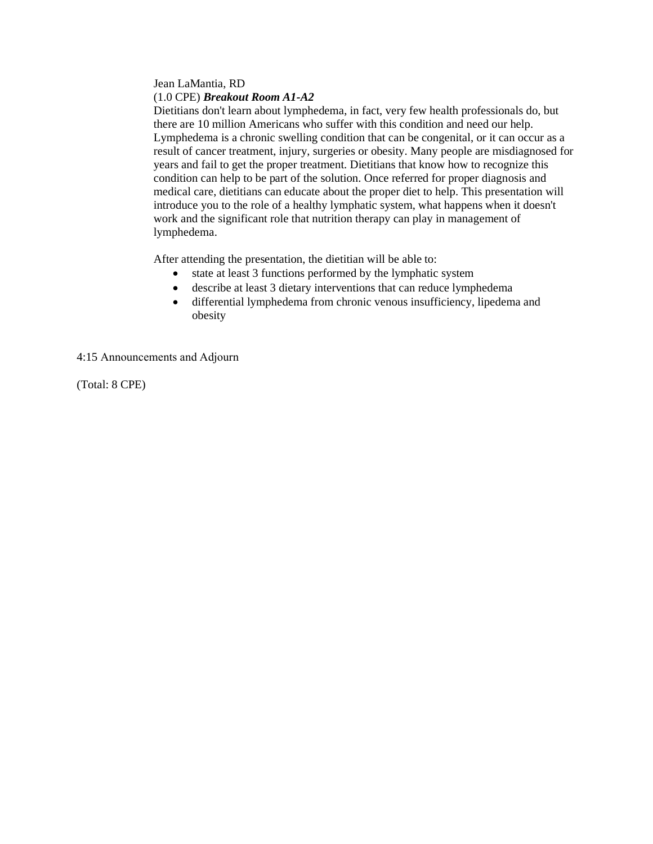#### Jean LaMantia, RD (1.0 CPE) *Breakout Room A1-A2*

Dietitians don't learn about lymphedema, in fact, very few health professionals do, but there are 10 million Americans who suffer with this condition and need our help. Lymphedema is a chronic swelling condition that can be congenital, or it can occur as a result of cancer treatment, injury, surgeries or obesity. Many people are misdiagnosed for years and fail to get the proper treatment. Dietitians that know how to recognize this condition can help to be part of the solution. Once referred for proper diagnosis and medical care, dietitians can educate about the proper diet to help. This presentation will introduce you to the role of a healthy lymphatic system, what happens when it doesn't work and the significant role that nutrition therapy can play in management of lymphedema.

After attending the presentation, the dietitian will be able to:

- state at least 3 functions performed by the lymphatic system
- describe at least 3 dietary interventions that can reduce lymphedema
- differential lymphedema from chronic venous insufficiency, lipedema and obesity

4:15 Announcements and Adjourn      

(Total: 8 CPE)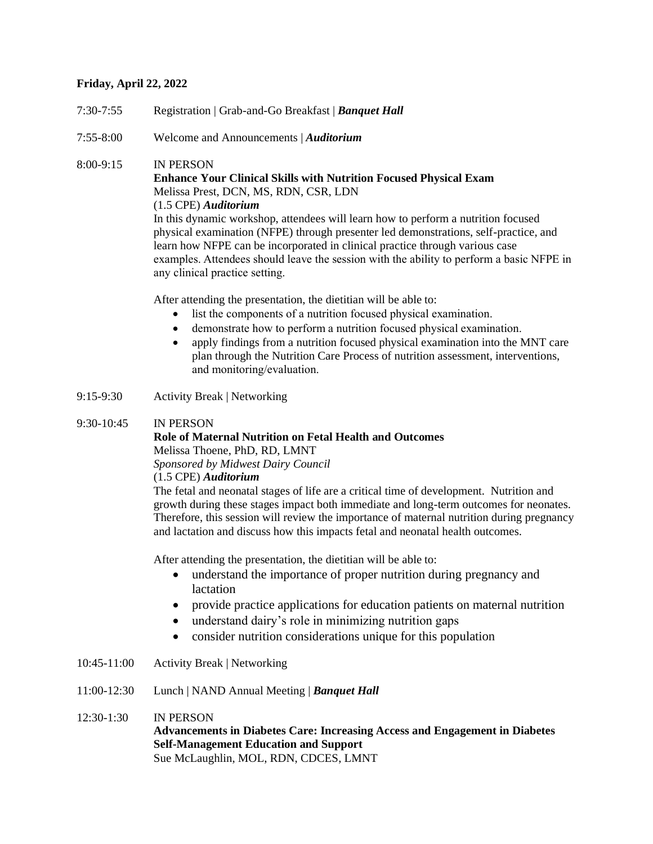## **Friday, April 22, 2022**

- 7:30-7:55 Registration | Grab-and-Go Breakfast | *Banquet Hall*
- 7:55-8:00 Welcome and Announcements | *Auditorium*

## 8:00-9:15 IN PERSON

## **Enhance Your Clinical Skills with Nutrition Focused Physical Exam** Melissa Prest, DCN, MS, RDN, CSR, LDN

## (1.5 CPE) *Auditorium*

In this dynamic workshop, attendees will learn how to perform a nutrition focused physical examination (NFPE) through presenter led demonstrations, self-practice, and learn how NFPE can be incorporated in clinical practice through various case examples. Attendees should leave the session with the ability to perform a basic NFPE in any clinical practice setting.   

After attending the presentation, the dietitian will be able to:

- list the components of a nutrition focused physical examination.
- demonstrate how to perform a nutrition focused physical examination.
- apply findings from a nutrition focused physical examination into the MNT care plan through the Nutrition Care Process of nutrition assessment, interventions, and monitoring/evaluation.
- 9:15-9:30 Activity Break | Networking

## 9:30-10:45 IN PERSON

# **Role of Maternal Nutrition on Fetal Health and Outcomes**

Melissa Thoene, PhD, RD, LMNT

*Sponsored by Midwest Dairy Council*

(1.5 CPE) *Auditorium*

The fetal and neonatal stages of life are a critical time of development. Nutrition and growth during these stages impact both immediate and long-term outcomes for neonates. Therefore, this session will review the importance of maternal nutrition during pregnancy and lactation and discuss how this impacts fetal and neonatal health outcomes.

After attending the presentation, the dietitian will be able to:

- understand the importance of proper nutrition during pregnancy and lactation
- provide practice applications for education patients on maternal nutrition
- understand dairy's role in minimizing nutrition gaps
- consider nutrition considerations unique for this population
- 10:45-11:00 Activity Break | Networking
- 11:00-12:30 Lunch | NAND Annual Meeting | *Banquet Hall*

12:30-1:30 IN PERSON **Advancements in Diabetes Care: Increasing Access and Engagement in Diabetes Self-Management Education and Support** Sue McLaughlin, MOL, RDN, CDCES, LMNT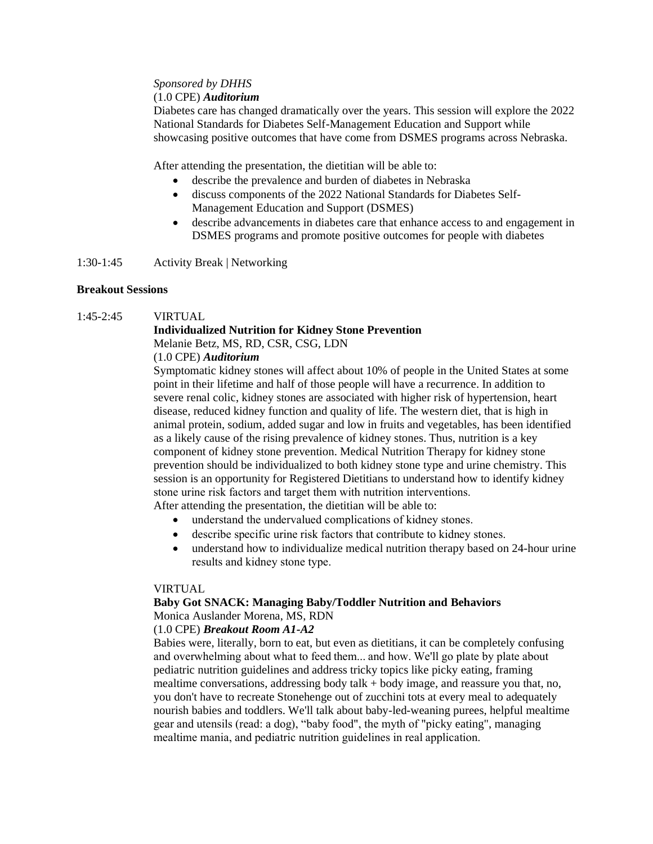## *Sponsored by DHHS*

### (1.0 CPE) *Auditorium*

Diabetes care has changed dramatically over the years. This session will explore the 2022 National Standards for Diabetes Self-Management Education and Support while showcasing positive outcomes that have come from DSMES programs across Nebraska.

After attending the presentation, the dietitian will be able to:

- describe the prevalence and burden of diabetes in Nebraska
- discuss components of the 2022 National Standards for Diabetes Self-Management Education and Support (DSMES)
- describe advancements in diabetes care that enhance access to and engagement in DSMES programs and promote positive outcomes for people with diabetes

1:30-1:45 Activity Break | Networking

## **Breakout Sessions**

## 1:45-2:45 VIRTUAL

## **Individualized Nutrition for Kidney Stone Prevention** Melanie Betz, MS, RD, CSR, CSG, LDN

## (1.0 CPE) *Auditorium*

Symptomatic kidney stones will affect about 10% of people in the United States at some point in their lifetime and half of those people will have a recurrence. In addition to severe renal colic, kidney stones are associated with higher risk of hypertension, heart disease, reduced kidney function and quality of life. The western diet, that is high in animal protein, sodium, added sugar and low in fruits and vegetables, has been identified as a likely cause of the rising prevalence of kidney stones. Thus, nutrition is a key component of kidney stone prevention. Medical Nutrition Therapy for kidney stone prevention should be individualized to both kidney stone type and urine chemistry. This session is an opportunity for Registered Dietitians to understand how to identify kidney stone urine risk factors and target them with nutrition interventions.    After attending the presentation, the dietitian will be able to:

- understand the undervalued complications of kidney stones.
- describe specific urine risk factors that contribute to kidney stones.
- understand how to individualize medical nutrition therapy based on 24-hour urine results and kidney stone type.

## VIRTUAL

## **Baby Got SNACK: Managing Baby/Toddler Nutrition and Behaviors** Monica Auslander Morena, MS, RDN

## (1.0 CPE) *Breakout Room A1-A2*

Babies were, literally, born to eat, but even as dietitians, it can be completely confusing and overwhelming about what to feed them... and how. We'll go plate by plate about pediatric nutrition guidelines and address tricky topics like picky eating, framing mealtime conversations, addressing body talk + body image, and reassure you that, no, you don't have to recreate Stonehenge out of zucchini tots at every meal to adequately nourish babies and toddlers. We'll talk about baby-led-weaning purees, helpful mealtime gear and utensils (read: a dog), "baby food", the myth of "picky eating", managing mealtime mania, and pediatric nutrition guidelines in real application.